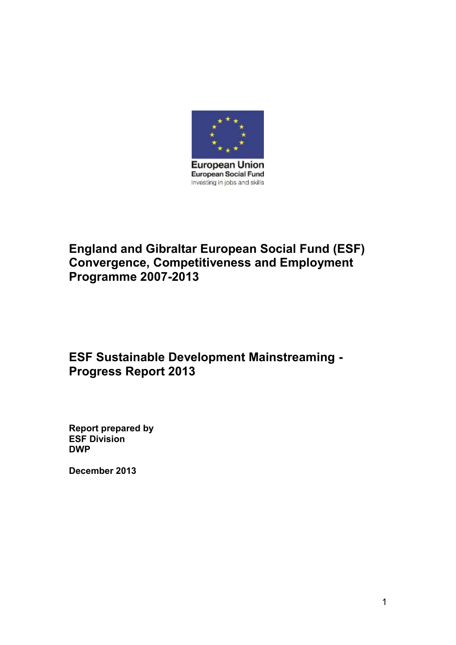

# **England and Gibraltar European Social Fund (ESF) Convergence, Competitiveness and Employment Programme 2007-2013**

# **ESF Sustainable Development Mainstreaming - Progress Report 2013**

**Report prepared by ESF Division DWP**

**December 2013**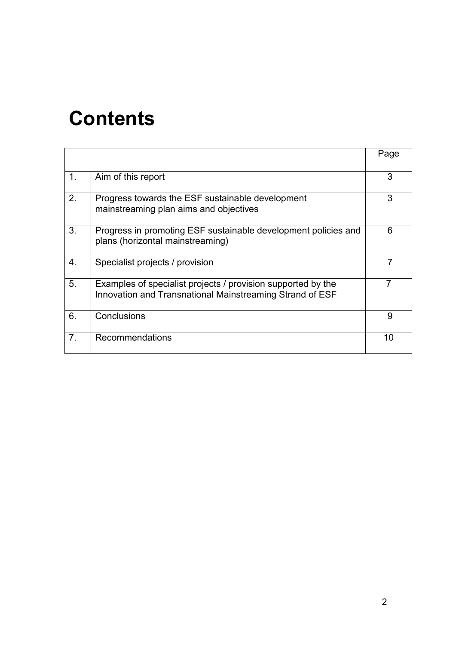# **Contents**

|                |                                                                                                                          | Page |
|----------------|--------------------------------------------------------------------------------------------------------------------------|------|
| 1 <sub>1</sub> | Aim of this report                                                                                                       | 3    |
| 2.             | Progress towards the ESF sustainable development<br>mainstreaming plan aims and objectives                               | 3    |
| 3.             | Progress in promoting ESF sustainable development policies and<br>plans (horizontal mainstreaming)                       | 6    |
| 4.             | Specialist projects / provision                                                                                          |      |
| 5.             | Examples of specialist projects / provision supported by the<br>Innovation and Transnational Mainstreaming Strand of ESF |      |
| 6.             | Conclusions                                                                                                              | 9    |
| 7 <sub>1</sub> | Recommendations                                                                                                          | 10   |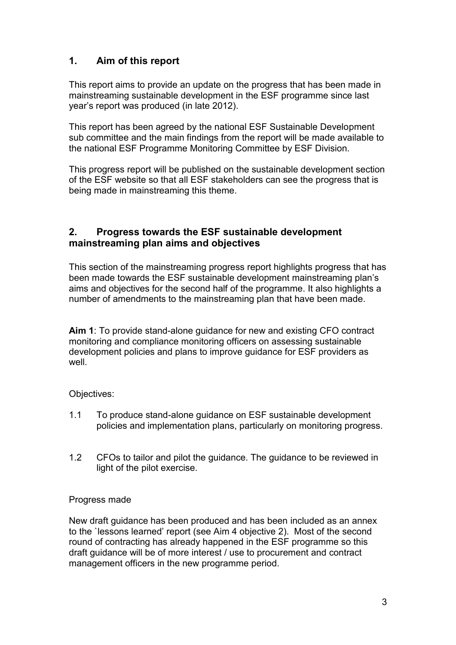# **1. Aim of this report**

This report aims to provide an update on the progress that has been made in mainstreaming sustainable development in the ESF programme since last year's report was produced (in late 2012).

This report has been agreed by the national ESF Sustainable Development sub committee and the main findings from the report will be made available to the national ESF Programme Monitoring Committee by ESF Division.

This progress report will be published on the sustainable development section of the ESF website so that all ESF stakeholders can see the progress that is being made in mainstreaming this theme.

## **2. Progress towards the ESF sustainable development mainstreaming plan aims and objectives**

This section of the mainstreaming progress report highlights progress that has been made towards the ESF sustainable development mainstreaming plan's aims and objectives for the second half of the programme. It also highlights a number of amendments to the mainstreaming plan that have been made.

**Aim 1**: To provide stand-alone guidance for new and existing CFO contract monitoring and compliance monitoring officers on assessing sustainable development policies and plans to improve guidance for ESF providers as well.

## Objectives:

- 1.1 To produce stand-alone guidance on ESF sustainable development policies and implementation plans, particularly on monitoring progress.
- 1.2 CFOs to tailor and pilot the guidance. The guidance to be reviewed in light of the pilot exercise.

#### Progress made

New draft guidance has been produced and has been included as an annex to the `lessons learned' report (see Aim 4 objective 2). Most of the second round of contracting has already happened in the ESF programme so this draft guidance will be of more interest / use to procurement and contract management officers in the new programme period.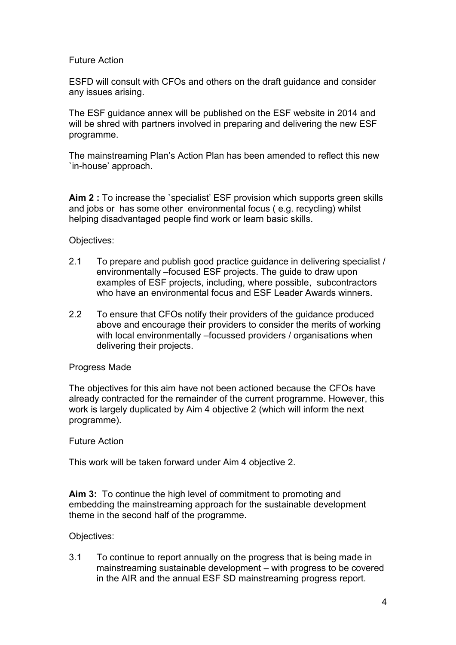#### Future Action

ESFD will consult with CFOs and others on the draft guidance and consider any issues arising.

The ESF guidance annex will be published on the ESF website in 2014 and will be shred with partners involved in preparing and delivering the new ESF programme.

The mainstreaming Plan's Action Plan has been amended to reflect this new `in-house' approach.

**Aim 2 :** To increase the `specialist' ESF provision which supports green skills and jobs or has some other environmental focus ( e.g. recycling) whilst helping disadvantaged people find work or learn basic skills.

Objectives:

- 2.1 To prepare and publish good practice guidance in delivering specialist / environmentally –focused ESF projects. The guide to draw upon examples of ESF projects, including, where possible, subcontractors who have an environmental focus and ESF Leader Awards winners.
- 2.2 To ensure that CFOs notify their providers of the guidance produced above and encourage their providers to consider the merits of working with local environmentally –focussed providers / organisations when delivering their projects.

#### Progress Made

The objectives for this aim have not been actioned because the CFOs have already contracted for the remainder of the current programme. However, this work is largely duplicated by Aim 4 objective 2 (which will inform the next programme).

#### Future Action

This work will be taken forward under Aim 4 objective 2.

**Aim 3:** To continue the high level of commitment to promoting and embedding the mainstreaming approach for the sustainable development theme in the second half of the programme.

#### Objectives:

3.1 To continue to report annually on the progress that is being made in mainstreaming sustainable development – with progress to be covered in the AIR and the annual ESF SD mainstreaming progress report.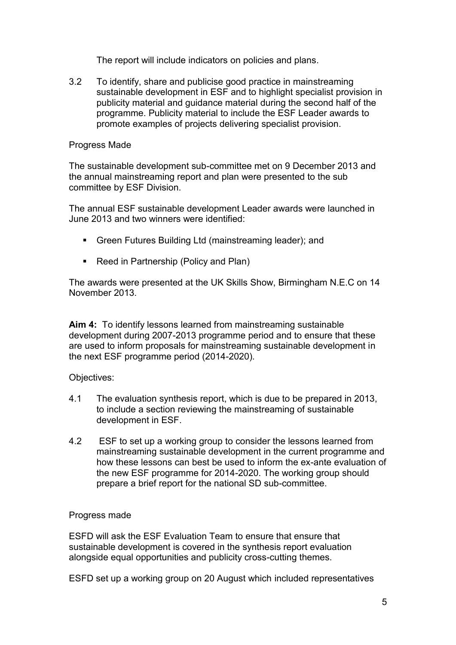The report will include indicators on policies and plans.

3.2 To identify, share and publicise good practice in mainstreaming sustainable development in ESF and to highlight specialist provision in publicity material and guidance material during the second half of the programme. Publicity material to include the ESF Leader awards to promote examples of projects delivering specialist provision.

#### Progress Made

The sustainable development sub-committee met on 9 December 2013 and the annual mainstreaming report and plan were presented to the sub committee by ESF Division.

The annual ESF sustainable development Leader awards were launched in June 2013 and two winners were identified:

- Green Futures Building Ltd (mainstreaming leader); and
- Reed in Partnership (Policy and Plan)

The awards were presented at the UK Skills Show, Birmingham N.E.C on 14 November 2013.

**Aim 4:** To identify lessons learned from mainstreaming sustainable development during 2007-2013 programme period and to ensure that these are used to inform proposals for mainstreaming sustainable development in the next ESF programme period (2014-2020).

#### Objectives:

- 4.1 The evaluation synthesis report, which is due to be prepared in 2013, to include a section reviewing the mainstreaming of sustainable development in ESF.
- 4.2 ESF to set up a working group to consider the lessons learned from mainstreaming sustainable development in the current programme and how these lessons can best be used to inform the ex-ante evaluation of the new ESF programme for 2014-2020. The working group should prepare a brief report for the national SD sub-committee.

#### Progress made

ESFD will ask the ESF Evaluation Team to ensure that ensure that sustainable development is covered in the synthesis report evaluation alongside equal opportunities and publicity cross-cutting themes.

ESFD set up a working group on 20 August which included representatives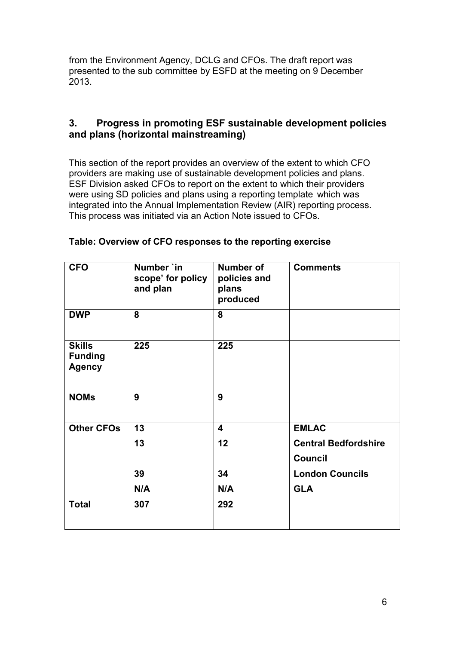from the Environment Agency, DCLG and CFOs. The draft report was presented to the sub committee by ESFD at the meeting on 9 December 2013.

# **3. Progress in promoting ESF sustainable development policies and plans (horizontal mainstreaming)**

This section of the report provides an overview of the extent to which CFO providers are making use of sustainable development policies and plans. ESF Division asked CFOs to report on the extent to which their providers were using SD policies and plans using a reporting template which was integrated into the Annual Implementation Review (AIR) reporting process. This process was initiated via an Action Note issued to CFOs.

| <b>CFO</b>                                       | Number `in<br>scope' for policy<br>and plan | Number of<br>policies and<br>plans<br>produced | <b>Comments</b>             |
|--------------------------------------------------|---------------------------------------------|------------------------------------------------|-----------------------------|
| <b>DWP</b>                                       | 8                                           | 8                                              |                             |
| <b>Skills</b><br><b>Funding</b><br><b>Agency</b> | 225                                         | 225                                            |                             |
| <b>NOMs</b>                                      | 9                                           | 9                                              |                             |
| <b>Other CFOs</b>                                | 13                                          | $\overline{\mathbf{4}}$                        | <b>EMLAC</b>                |
|                                                  | 13                                          | 12                                             | <b>Central Bedfordshire</b> |
|                                                  |                                             |                                                | <b>Council</b>              |
|                                                  | 39                                          | 34                                             | <b>London Councils</b>      |
|                                                  | N/A                                         | N/A                                            | <b>GLA</b>                  |
| <b>Total</b>                                     | 307                                         | 292                                            |                             |

## **Table: Overview of CFO responses to the reporting exercise**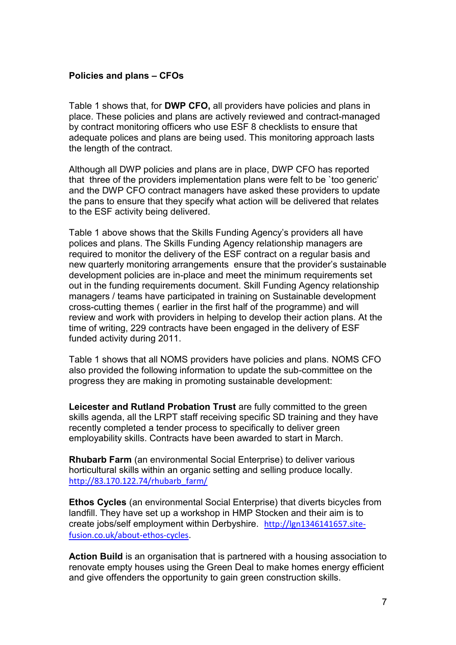## **Policies and plans – CFOs**

Table 1 shows that, for **DWP CFO,** all providers have policies and plans in place. These policies and plans are actively reviewed and contract-managed by contract monitoring officers who use ESF 8 checklists to ensure that adequate polices and plans are being used. This monitoring approach lasts the length of the contract.

Although all DWP policies and plans are in place, DWP CFO has reported that three of the providers implementation plans were felt to be `too generic' and the DWP CFO contract managers have asked these providers to update the pans to ensure that they specify what action will be delivered that relates to the ESF activity being delivered.

Table 1 above shows that the Skills Funding Agency's providers all have polices and plans. The Skills Funding Agency relationship managers are required to monitor the delivery of the ESF contract on a regular basis and new quarterly monitoring arrangements ensure that the provider's sustainable development policies are in-place and meet the minimum requirements set out in the funding requirements document. Skill Funding Agency relationship managers / teams have participated in training on Sustainable development cross-cutting themes ( earlier in the first half of the programme) and will review and work with providers in helping to develop their action plans. At the time of writing, 229 contracts have been engaged in the delivery of ESF funded activity during 2011.

Table 1 shows that all NOMS providers have policies and plans. NOMS CFO also provided the following information to update the sub-committee on the progress they are making in promoting sustainable development:

**Leicester and Rutland Probation Trust** are fully committed to the green skills agenda, all the LRPT staff receiving specific SD training and they have recently completed a tender process to specifically to deliver green employability skills. Contracts have been awarded to start in March.

**Rhubarb Farm** (an environmental Social Enterprise) to deliver various horticultural skills within an organic setting and selling produce locally. [http://83.170.122.74/rhubarb\\_farm/](http://83.170.122.74/rhubarb_farm/)

**Ethos Cycles** (an environmental Social Enterprise) that diverts bicycles from landfill. They have set up a workshop in HMP Stocken and their aim is to create jobs/self employment within Derbyshire. [http://lgn1346141657.site](http://lgn1346141657.site-fusion.co.uk/about-ethos-cycles)[fusion.co.uk/about-ethos-cycles](http://lgn1346141657.site-fusion.co.uk/about-ethos-cycles).

**Action Build** is an organisation that is partnered with a housing association to renovate empty houses using the Green Deal to make homes energy efficient and give offenders the opportunity to gain green construction skills.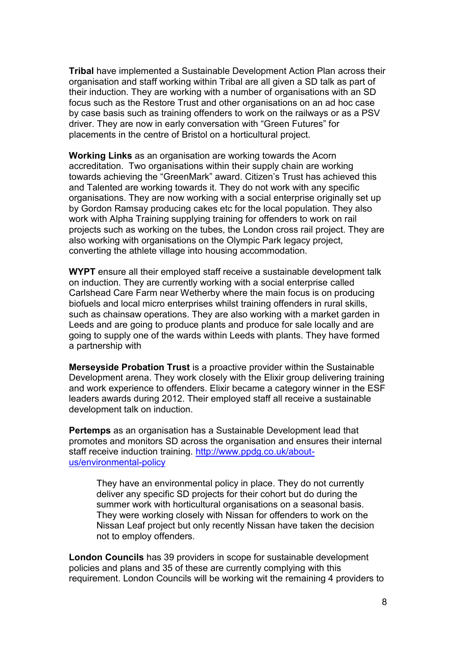**Tribal** have implemented a Sustainable Development Action Plan across their organisation and staff working within Tribal are all given a SD talk as part of their induction. They are working with a number of organisations with an SD focus such as the Restore Trust and other organisations on an ad hoc case by case basis such as training offenders to work on the railways or as a PSV driver. They are now in early conversation with "Green Futures" for placements in the centre of Bristol on a horticultural project.

**Working Links** as an organisation are working towards the Acorn accreditation. Two organisations within their supply chain are working towards achieving the "GreenMark" award. Citizen's Trust has achieved this and Talented are working towards it. They do not work with any specific organisations. They are now working with a social enterprise originally set up by Gordon Ramsay producing cakes etc for the local population. They also work with Alpha Training supplying training for offenders to work on rail projects such as working on the tubes, the London cross rail project. They are also working with organisations on the Olympic Park legacy project, converting the athlete village into housing accommodation.

**WYPT** ensure all their employed staff receive a sustainable development talk on induction. They are currently working with a social enterprise called Carlshead Care Farm near Wetherby where the main focus is on producing biofuels and local micro enterprises whilst training offenders in rural skills, such as chainsaw operations. They are also working with a market garden in Leeds and are going to produce plants and produce for sale locally and are going to supply one of the wards within Leeds with plants. They have formed a partnership with

**Merseyside Probation Trust** is a proactive provider within the Sustainable Development arena. They work closely with the Elixir group delivering training and work experience to offenders. Elixir became a category winner in the ESF leaders awards during 2012. Their employed staff all receive a sustainable development talk on induction.

**Pertemps** as an organisation has a Sustainable Development lead that promotes and monitors SD across the organisation and ensures their internal staff receive induction training. [http://www.ppdg.co.uk/about](http://www.ppdg.co.uk/about-us/environmental-policy)[us/environmental-policy](http://www.ppdg.co.uk/about-us/environmental-policy)

They have an environmental policy in place. They do not currently deliver any specific SD projects for their cohort but do during the summer work with horticultural organisations on a seasonal basis. They were working closely with Nissan for offenders to work on the Nissan Leaf project but only recently Nissan have taken the decision not to employ offenders.

**London Councils** has 39 providers in scope for sustainable development policies and plans and 35 of these are currently complying with this requirement. London Councils will be working wit the remaining 4 providers to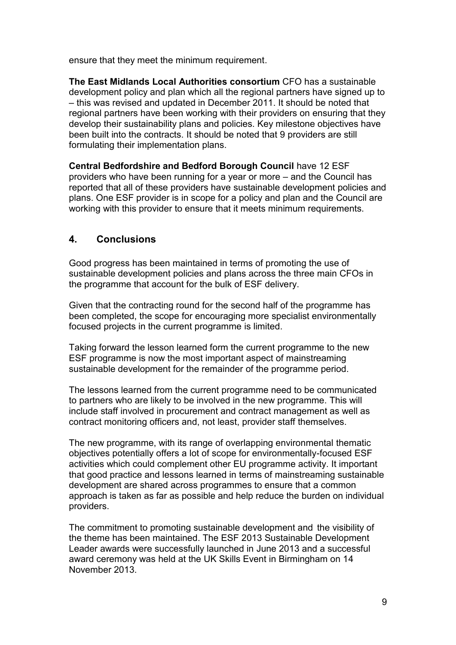ensure that they meet the minimum requirement.

**The East Midlands Local Authorities consortium** CFO has a sustainable development policy and plan which all the regional partners have signed up to – this was revised and updated in December 2011. It should be noted that regional partners have been working with their providers on ensuring that they develop their sustainability plans and policies. Key milestone objectives have been built into the contracts. It should be noted that 9 providers are still formulating their implementation plans.

**Central Bedfordshire and Bedford Borough Council** have 12 ESF providers who have been running for a year or more – and the Council has reported that all of these providers have sustainable development policies and plans. One ESF provider is in scope for a policy and plan and the Council are working with this provider to ensure that it meets minimum requirements.

# **4. Conclusions**

Good progress has been maintained in terms of promoting the use of sustainable development policies and plans across the three main CFOs in the programme that account for the bulk of ESF delivery.

Given that the contracting round for the second half of the programme has been completed, the scope for encouraging more specialist environmentally focused projects in the current programme is limited.

Taking forward the lesson learned form the current programme to the new ESF programme is now the most important aspect of mainstreaming sustainable development for the remainder of the programme period.

The lessons learned from the current programme need to be communicated to partners who are likely to be involved in the new programme. This will include staff involved in procurement and contract management as well as contract monitoring officers and, not least, provider staff themselves.

The new programme, with its range of overlapping environmental thematic objectives potentially offers a lot of scope for environmentally-focused ESF activities which could complement other EU programme activity. It important that good practice and lessons learned in terms of mainstreaming sustainable development are shared across programmes to ensure that a common approach is taken as far as possible and help reduce the burden on individual providers.

The commitment to promoting sustainable development and the visibility of the theme has been maintained. The ESF 2013 Sustainable Development Leader awards were successfully launched in June 2013 and a successful award ceremony was held at the UK Skills Event in Birmingham on 14 November 2013.